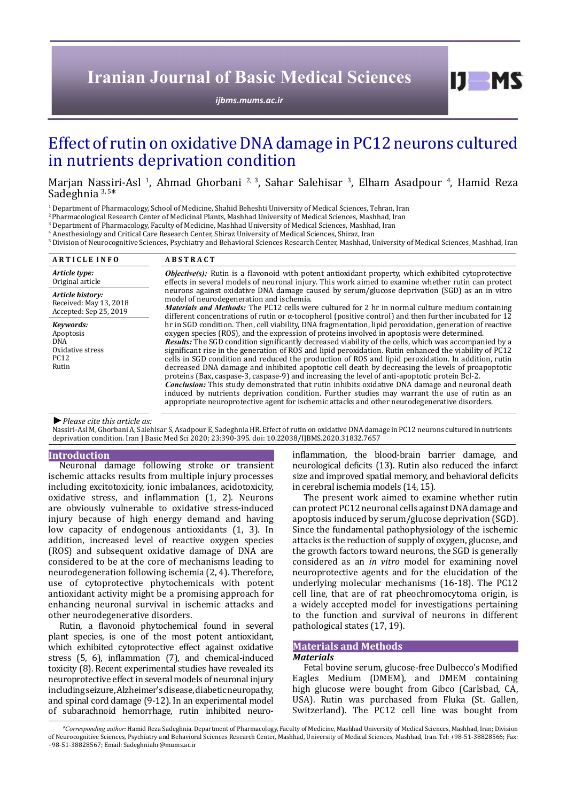# **Iranian Journal of Basic Medical Sciences**

*[ijbms.mums.ac.ir](http://ijbms.mums.ac.ir)*

# Effect of rutin on oxidative DNA damage in PC12 neurons cultured in nutrients deprivation condition

Marjan Nassiri-Asl<sup>-1</sup>, Ahmad Ghorbani<sup>-2, 3</sup>, Sahar Salehisar<sup>-3</sup>, Elham Asadpour<sup>-4</sup>, Hamid Reza Sadeghnia 3, 5\*

<sup>1</sup> Department of Pharmacology, School of Medicine, Shahid Beheshti University of Medical Sciences, Tehran, Iran

2 Pharmacological Research Center of Medicinal Plants, Mashhad University of Medical Sciences, Mashhad, Iran

3 Department of Pharmacology, Faculty of Medicine, Mashhad University of Medical Sciences, Mashhad, Iran

4 Anesthesiology and Critical Care Research Center, Shiraz University of Medical Sciences, Shiraz, Iran

5 Division of Neurocognitive Sciences, Psychiatry and Behavioral Sciences Research Center, Mashhad, University of Medical Sciences, Mashhad, Iran

| <b>ARTICLE INFO</b>                                                        | <b>ABSTRACT</b>                                                                                                                                                                                                                                                                                                                                                                                                                                                                                                                                                                                                                                                                                                                                                                                                                                                                                                                                                                                                                                                                                                                                                                                                                                                                                                                                                                                                                                                                                                                                                                                                                                     |
|----------------------------------------------------------------------------|-----------------------------------------------------------------------------------------------------------------------------------------------------------------------------------------------------------------------------------------------------------------------------------------------------------------------------------------------------------------------------------------------------------------------------------------------------------------------------------------------------------------------------------------------------------------------------------------------------------------------------------------------------------------------------------------------------------------------------------------------------------------------------------------------------------------------------------------------------------------------------------------------------------------------------------------------------------------------------------------------------------------------------------------------------------------------------------------------------------------------------------------------------------------------------------------------------------------------------------------------------------------------------------------------------------------------------------------------------------------------------------------------------------------------------------------------------------------------------------------------------------------------------------------------------------------------------------------------------------------------------------------------------|
| Article type:<br>Original article                                          | <b><i>Objective(s)</i></b> : Rutin is a flavonoid with potent antioxidant property, which exhibited cytoprotective<br>effects in several models of neuronal injury. This work aimed to examine whether rutin can protect<br>neurons against oxidative DNA damage caused by serum/glucose deprivation (SGD) as an in vitro<br>model of neurodegeneration and ischemia.<br>Materials and Methods: The PC12 cells were cultured for 2 hr in normal culture medium containing<br>different concentrations of rutin or $\alpha$ -tocopherol (positive control) and then further incubated for 12<br>hr in SGD condition. Then, cell viability, DNA fragmentation, lipid peroxidation, generation of reactive<br>oxygen species (ROS), and the expression of proteins involved in apoptosis were determined.<br><b>Results:</b> The SGD condition significantly decreased viability of the cells, which was accompanied by a<br>significant rise in the generation of ROS and lipid peroxidation. Rutin enhanced the viability of PC12<br>cells in SGD condition and reduced the production of ROS and lipid peroxidation. In addition, rutin<br>decreased DNA damage and inhibited apoptotic cell death by decreasing the levels of proapoptotic<br>proteins (Bax, caspase-3, caspase-9) and increasing the level of anti-apoptotic protein Bcl-2.<br>Conclusion: This study demonstrated that rutin inhibits oxidative DNA damage and neuronal death<br>induced by nutrients deprivation condition. Further studies may warrant the use of rutin as an<br>appropriate neuroprotective agent for ischemic attacks and other neurodegenerative disorders. |
| Article history:<br>Received: May 13, 2018<br>Accepted: Sep 25, 2019       |                                                                                                                                                                                                                                                                                                                                                                                                                                                                                                                                                                                                                                                                                                                                                                                                                                                                                                                                                                                                                                                                                                                                                                                                                                                                                                                                                                                                                                                                                                                                                                                                                                                     |
| Kevwords:<br>Apoptosis<br>DNA.<br>Oxidative stress<br><b>PC12</b><br>Rutin |                                                                                                                                                                                                                                                                                                                                                                                                                                                                                                                                                                                                                                                                                                                                                                                                                                                                                                                                                                                                                                                                                                                                                                                                                                                                                                                                                                                                                                                                                                                                                                                                                                                     |

#### *►Please cite this article as:*

Nassiri-Asl M, Ghorbani A, Salehisar S, Asadpour E, Sadeghnia HR. Effect of rutin on oxidative DNA damage in PC12 neurons cultured in nutrients deprivation condition. Iran J Basic Med Sci 2020; 23:390-395. doi: 10.22038/IJBMS.2020.31832.7657

#### **Introduction**

Neuronal damage following stroke or transient ischemic attacks results from multiple injury processes including excitotoxicity, ionic imbalances, acidotoxicity, oxidative stress, and inflammation (1, 2). Neurons are obviously vulnerable to oxidative stress-induced injury because of high energy demand and having low capacity of endogenous antioxidants (1, 3). In addition, increased level of reactive oxygen species (ROS) and subsequent oxidative damage of DNA are considered to be at the core of mechanisms leading to neurodegeneration following ischemia (2, 4). Therefore, use of cytoprotective phytochemicals with potent antioxidant activity might be a promising approach for enhancing neuronal survival in ischemic attacks and other neurodegenerative disorders.

Rutin, a flavonoid phytochemical found in several plant species, is one of the most potent antioxidant, which exhibited cytoprotective effect against oxidative stress (5, 6), inflammation (7), and chemical-induced toxicity (8). Recent experimental studies have revealed its neuroprotective effect in several models of neuronal injury including seizure, Alzheimer's disease, diabetic neuropathy, and spinal cord damage (9-12). In an experimental model of subarachnoid hemorrhage, rutin inhibited neuroinflammation, the blood-brain barrier damage, and neurological deficits (13). Rutin also reduced the infarct size and improved spatial memory, and behavioral deficits in cerebral ischemia models (14, 15).

 $I$   $I$   $M$   $S$ 

The present work aimed to examine whether rutin can protect PC12 neuronal cells against DNA damage and apoptosis induced by serum/glucose deprivation (SGD). Since the fundamental pathophysiology of the ischemic attacks is the reduction of supply of oxygen, glucose, and the growth factors toward neurons, the SGD is generally considered as an *in vitro* model for examining novel neuroprotective agents and for the elucidation of the underlying molecular mechanisms (16-18). The PC12 cell line, that are of rat pheochromocytoma origin, is a widely accepted model for investigations pertaining to the function and survival of neurons in different pathological states (17, 19).

#### **Materials and Methods**

#### *Materials*

Fetal bovine serum, glucose-free Dulbecco's Modified Eagles Medium (DMEM), and DMEM containing high glucose were bought from Gibco (Carlsbad, CA, USA). Rutin was purchased from Fluka (St. Gallen, Switzerland). The PC12 cell line was bought from

 *<sup>\*</sup>Corresponding author:* Hamid Reza Sadeghnia. Department of Pharmacology, Faculty of Medicine, Mashhad University of Medical Sciences, Mashhad, Iran; Division of Neurocognitive Sciences, Psychiatry and Behavioral Sciences Research Center, Mashhad, University of Medical Sciences, Mashhad, Iran. Tel: +98-51-38828566; Fax: +98-51-38828567; Email: Sadeghniahr@mums.ac.ir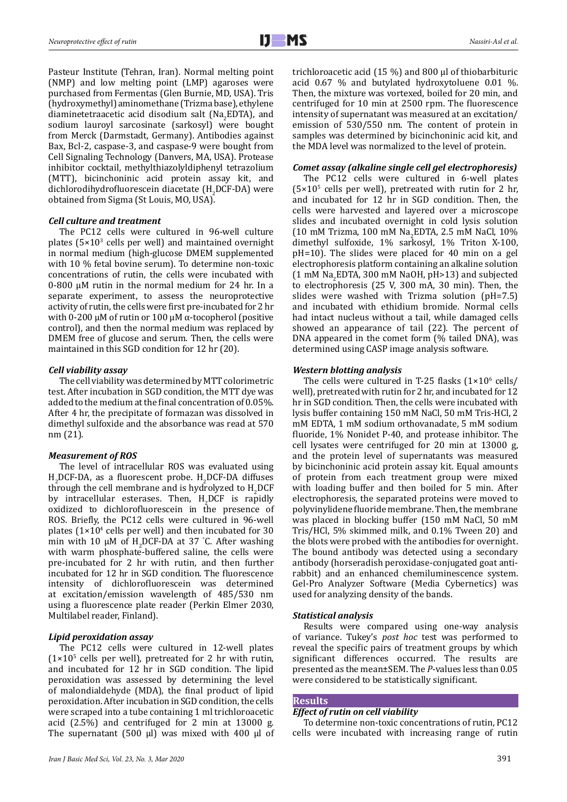Pasteur Institute (Tehran, Iran). Normal melting point (NMP) and low melting point (LMP) agaroses were purchased from Fermentas (Glen Burnie, MD, USA). Tris (hydroxymethyl) aminomethane (Trizma base), ethylene diaminetetraacetic acid disodium salt  $(Na_2EDTA)$ , and sodium lauroyl sarcosinate (sarkosyl) were bought from Merck (Darmstadt, Germany). Antibodies against Bax, Bcl-2, caspase-3, and caspase-9 were bought from Cell Signaling Technology (Danvers, MA, USA). Protease inhibitor cocktail, methylthiazolyldiphenyl tetrazolium (MTT), bicinchoninic acid protein assay kit, and dichlorodihydrofluorescein diacetate (H<sup>2</sup> DCF-DA) were obtained from Sigma (St Louis, MO, USA).

## *Cell culture and treatment*

The PC12 cells were cultured in 96-well culture plates  $(5\times10^{3}$  cells per well) and maintained overnight in normal medium (high-glucose DMEM supplemented with 10 % fetal bovine serum). To determine non-toxic concentrations of rutin, the cells were incubated with 0-800 µM rutin in the normal medium for 24 hr. In a separate experiment, to assess the neuroprotective activity of rutin, the cells were first pre-incubated for 2 hr with 0-200 µM of rutin or 100 µM α-tocopherol (positive control), and then the normal medium was replaced by DMEM free of glucose and serum. Then, the cells were maintained in this SGD condition for 12 hr (20).

# *Cell viability assay*

The cell viability was determined by MTT colorimetric test. After incubation in SGD condition, the MTT dye was added to the medium at the final concentration of 0.05%. After 4 hr, the precipitate of formazan was dissolved in dimethyl sulfoxide and the absorbance was read at 570 nm (21).

# *Measurement of ROS*

The level of intracellular ROS was evaluated using  $H_2$ DCF-DA, as a fluorescent probe.  $H_2$ DCF-DA diffuses through the cell membrane and is hydrolyzed to  $H_2DCF$ by intracellular esterases. Then,  $H_2DCF$  is rapidly oxidized to dichlorofluorescein in the presence of ROS. Briefly, the PC12 cells were cultured in 96-well plates  $(1 \times 10^4 \text{ cells per well})$  and then incubated for 30 min with 10  $\mu$ M of H<sub>2</sub>DCF-DA at 37 °C. After washing with warm phosphate-buffered saline, the cells were pre-incubated for 2 hr with rutin, and then further incubated for 12 hr in SGD condition. The fluorescence intensity of dichlorofluorescein was determined at excitation/emission wavelength of 485/530 nm using a fluorescence plate reader (Perkin Elmer 2030, Multilabel reader, Finland).

# *Lipid peroxidation assay*

The PC12 cells were cultured in 12-well plates  $(1 \times 10^5 \text{ cells per well})$ , pretreated for 2 hr with rutin, and incubated for 12 hr in SGD condition. The lipid peroxidation was assessed by determining the level of malondialdehyde (MDA), the final product of lipid peroxidation. After incubation in SGD condition, the cells were scraped into a tube containing 1 ml trichloroacetic acid (2.5%) and centrifuged for 2 min at 13000 g. The supernatant  $(500 \text{ µl})$  was mixed with 400  $\text{µl}$  of trichloroacetic acid (15 %) and 800 µl of thiobarbituric acid 0.67 % and butylated hydroxytoluene 0.01 %. Then, the mixture was vortexed, boiled for 20 min, and centrifuged for 10 min at 2500 rpm. The fluorescence intensity of supernatant was measured at an excitation/ emission of 530/550 nm. The content of protein in samples was determined by bicinchoninic acid kit, and the MDA level was normalized to the level of protein.

#### *Comet assay (alkaline single cell gel electrophoresis)*

The PC12 cells were cultured in 6-well plates  $(5 \times 10^{5} \text{ cells per well})$ , pretreated with rutin for 2 hr, and incubated for 12 hr in SGD condition. Then, the cells were harvested and layered over a microscope slides and incubated overnight in cold lysis solution (10 mM Trizma, 100 mM Na<sub>2</sub>EDTA, 2.5 mM NaCl, 10%) dimethyl sulfoxide, 1% sarkosyl, 1% Triton X-100, pH=10). The slides were placed for 40 min on a gel electrophoresis platform containing an alkaline solution  $(1 \text{ mM Na}_2$ EDTA, 300 mM NaOH, pH>13) and subjected to electrophoresis (25 V, 300 mA, 30 min). Then, the slides were washed with Trizma solution (pH=7.5) and incubated with ethidium bromide. Normal cells had intact nucleus without a tail, while damaged cells showed an appearance of tail (22). The percent of DNA appeared in the comet form (% tailed DNA), was determined using CASP image analysis software.

# *Western blotting analysis*

The cells were cultured in T-25 flasks  $(1\times10^6 \text{ cells})$ well), pretreated with rutin for 2 hr, and incubated for 12 hr in SGD condition. Then, the cells were incubated with lysis buffer containing 150 mM NaCl, 50 mM Tris-HCl, 2 mM EDTA, 1 mM sodium orthovanadate, 5 mM sodium fluoride, 1% Nonidet P-40, and protease inhibitor. The cell lysates were centrifuged for 20 min at 13000 g, and the protein level of supernatants was measured by bicinchoninic acid protein assay kit. Equal amounts of protein from each treatment group were mixed with loading buffer and then boiled for 5 min. After electrophoresis, the separated proteins were moved to polyvinylidene fluoride membrane. Then, the membrane was placed in blocking buffer (150 mM NaCl, 50 mM Tris/HCl, 5% skimmed milk, and 0.1% Tween 20) and the blots were probed with the antibodies for overnight. The bound antibody was detected using a secondary antibody (horseradish peroxidase-conjugated goat antirabbit) and an enhanced chemiluminescence system. Gel-Pro Analyzer Software (Media Cybernetics) was used for analyzing density of the bands.

## *Statistical analysis*

Results were compared using one-way analysis of variance. Tukey's *post hoc* test was performed to reveal the specific pairs of treatment groups by which significant differences occurred. The results are presented as the mean±SEM. The *P*-values less than 0.05 were considered to be statistically significant.

## **Results**

#### *Effect of rutin on cell viability*

To determine non-toxic concentrations of rutin, PC12 cells were incubated with increasing range of rutin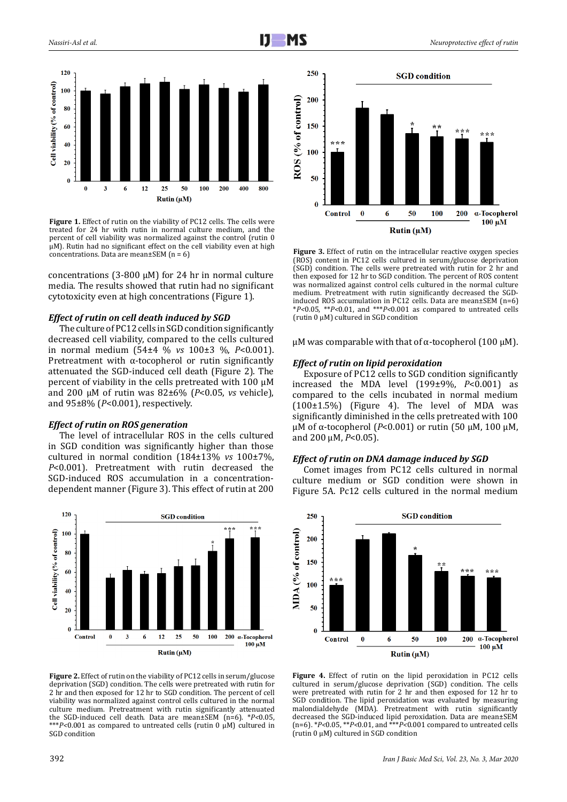



Figure 1. Effect of rutin on the viability of PC12 cells. The cells were treated for 24 hr with rutin in normal culture medium, and the percent of cell viability was normalized against the control (rutin 0 µM). Rutin had no significant effect on the cell viability even at high concentrations. Data are mean±SEM  $(n = 6)$ 

concentrations (3-800  $\mu$ M) for 24 hr in normal culture media. The results showed that rutin had no significant cytotoxicity even at high concentrations (Figure 1).

# *Effect of rutin on cell death induced by SGD*

The culture of PC12 cells in SGD condition significantly decreased cell viability, compared to the cells cultured in normal medium (54±4 % *vs* 100±3 %, *P*<0.001). Pretreatment with α-tocopherol or rutin significantly attenuated the SGD-induced cell death (Figure 2). The percent of viability in the cells pretreated with 100 µM and 200 µM of rutin was 82±6% (*P*<0.05, *vs* vehicle), 1 and 95±8% (*P*<0.001), respectively.

## *Effect of rutin on ROS generation*

The level of intracellular ROS in the cells cultured in SGD condition was significantly higher than those cultured in normal condition (184±13% *vs* 100±7%, *P*<0.001). Pretreatment with rutin decreased the SGD-induced ROS accumulation in a concentrationdependent manner (Figure 3). This effect of rutin at 200



**Figure 2.** Effect of rutin on the viability of PC12 cells in serum/glucose deprivation (SGD) condition. The cells were pretreated with rutin for 2 hr and then exposed for 12 hr to SGD condition. The percent of cell viability was normalized against control cells cultured in the normal culture medium. Pretreatment with rutin significantly attenuated the SGD-induced cell death. Data are mean±SEM (n=6). \**P<*0.05, \*\*\**P<*0.001 as compared to untreated cells (rutin 0 µM) cultured in SGD condition



**Figure 3.** Effect of rutin on the intracellular reactive oxygen species (ROS) content in PC12 cells cultured in serum/glucose deprivation (SGD) condition. The cells were pretreated with rutin for 2 hr and then exposed for 12 hr to SGD condition. The percent of ROS content was normalized against control cells cultured in the normal culture medium. Pretreatment with rutin significantly decreased the SGDinduced ROS accumulation in PC12 cells. Data are mean±SEM (n=6) \**P<*0.05, \*\**P<*0.01, and \*\*\**P<*0.001 as compared to untreated cells (rutin  $0 \mu M$ ) cultured in SGD condition

μM was comparable with that of α-tocopherol (100 μM).

# *Effect of rutin on lipid peroxidation*

Exposure of PC12 cells to SGD condition significantly increased the MDA level (199±9%, *P*<0.001) as compared to the cells incubated in normal medium 3 (100±1.5%) (Figure 4). The level of MDA was significantly diminished in the cells pretreated with 100 µM of α-tocopherol (*P*<0.001) or rutin (50 μM, 100 μM, and 200 μM, *P*<0.05).

## *Effect of rutin on DNA damage induced by SGD*

Comet images from PC12 cells cultured in normal culture medium or SGD condition were shown in Figure 5A. Pc12 cells cultured in the normal medium



**Figure 4.** Effect of rutin on the lipid peroxidation in PC12 cells cultured in serum/glucose deprivation (SGD) condition. The cells were pretreated with rutin for 2 hr and then exposed for 12 hr to SGD condition. The lipid peroxidation was evaluated by measuring malondialdehyde (MDA). Pretreatment with rutin significantly decreased the SGD-induced lipid peroxidation. Data are mean±SEM (n=6). \**P<*0.05, \*\**P<*0.01, and \*\*\**P<*0.001 compared to untreated cells (rutin 0 µM) cultured in SGD condition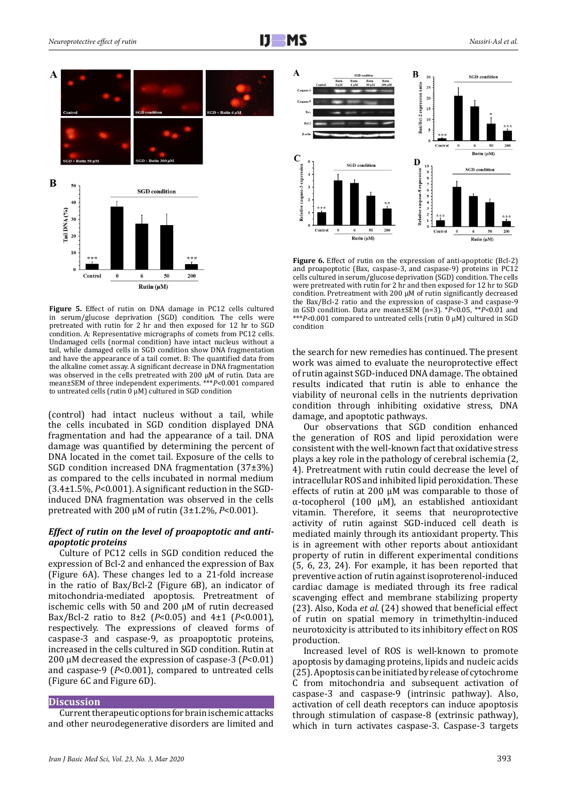

to untreated cells (rutin  $\vec{0}$   $\mu$ M) cultured in SGD condition **Figure 5.** Effect of rutin on DNA damage in PC12 cells cultured in serum/glucose deprivation (SGD) condition. The cells were pretreated with rutin for 2 hr and then exposed for 12 hr to SGD condition. A: Representative micrographs of comets from PC12 cells. Undamaged cells (normal condition) have intact nucleus without a tail, while damaged cells in SGD condition show DNA fragmentation and have the appearance of a tail comet. B: The quantified data from the alkaline comet assay. A significant decrease in DNA fragmentation was observed in the cells pretreated with 200 µM of rutin. Data are mean±SEM of three independent experiments. \*\*\**P<*0.001 compared

(control) had intact nucleus without a tail, while the cells incubated in SGD condition displayed DNA fragmentation and had the appearance of a tail. DNA damage was quantified by determining the percent of DNA located in the comet tail. Exposure of the cells to SGD condition increased DNA fragmentation (37±3%) as compared to the cells incubated in normal medium (3.4±1.5%, *P*<0.001). A significant reduction in the SGDinduced DNA fragmentation was observed in the cells pretreated with 200 µM of rutin (3±1.2%, *P*<0.001).

# *Effect of rutin on the level of proapoptotic and antiapoptotic proteins*

Culture of PC12 cells in SGD condition reduced the expression of Bcl-2 and enhanced the expression of Bax (Figure 6A). These changes led to a 21-fold increase in the ratio of Bax/Bcl-2 (Figure 6B), an indicator of mitochondria-mediated apoptosis. Pretreatment of ischemic cells with 50 and 200 μM of rutin decreased Bax/Bcl-2 ratio to 8±2 (*P*<0.05) and 4±1 (*P*<0.001), respectively. The expressions of cleaved forms of caspase-3 and caspase-9, as proapoptotic proteins, increased in the cells cultured in SGD condition. Rutin at 200 μM decreased the expression of caspase-3 (*P*<0.01) and caspase-9 (*P*<0.001), compared to untreated cells (Figure 6C and Figure 6D).

## **Discussion**

Current therapeutic options for brain ischemic attacks and other neurodegenerative disorders are limited and



**Figure 6.** Effect of rutin on the expression of anti-apoptotic (Bcl-2) and proapoptotic (Bax, caspase-3, and caspase-9) proteins in PC12 cells cultured in serum/glucose deprivation (SGD) condition. The cells were pretreated with rutin for 2 hr and then exposed for 12 hr to SGD condition. Pretreatment with 200 μM of rutin significantly decreased the Bax/Bcl-2 ratio and the expression of caspase-3 and caspase-9 in GSD condition. Data are mean±SEM (n=3). \**P<*0.05, \*\**P<*0.01 and \*\*\**P<*0.001 compared to untreated cells (rutin 0 µM) cultured in SGD condition

the search for new remedies has continued. The present work was aimed to evaluate the neuroprotective effect of rutin against SGD-induced DNA damage. The obtained results indicated that rutin is able to enhance the viability of neuronal cells in the nutrients deprivation condition through inhibiting oxidative stress, DNA damage, and apoptotic pathways.

Our observations that SGD condition enhanced the generation of ROS and lipid peroxidation were consistent with the well-known fact that oxidative stress plays a key role in the pathology of cerebral ischemia (2, 4). Pretreatment with rutin could decrease the level of intracellular ROS and inhibited lipid peroxidation. These effects of rutin at 200  $\mu$ M was comparable to those of α-tocopherol (100 µM), an established antioxidant vitamin. Therefore, it seems that neuroprotective activity of rutin against SGD-induced cell death is mediated mainly through its antioxidant property. This is in agreement with other reports about antioxidant property of rutin in different experimental conditions (5, 6, 23, 24). For example, it has been reported that preventive action of rutin against isoproterenol-induced cardiac damage is mediated through its free radical scavenging effect and membrane stabilizing property (23). Also, Koda *et al.* (24) showed that beneficial effect of rutin on spatial memory in trimethyltin-induced neurotoxicity is attributed to its inhibitory effect on ROS production.

Increased level of ROS is well-known to promote apoptosis by damaging proteins, lipids and nucleic acids (25). Apoptosis can be initiated by release of cytochrome C from mitochondria and subsequent activation of caspase-3 and caspase-9 (intrinsic pathway). Also, activation of cell death receptors can induce apoptosis through stimulation of caspase-8 (extrinsic pathway), which in turn activates caspase-3. Caspase-3 targets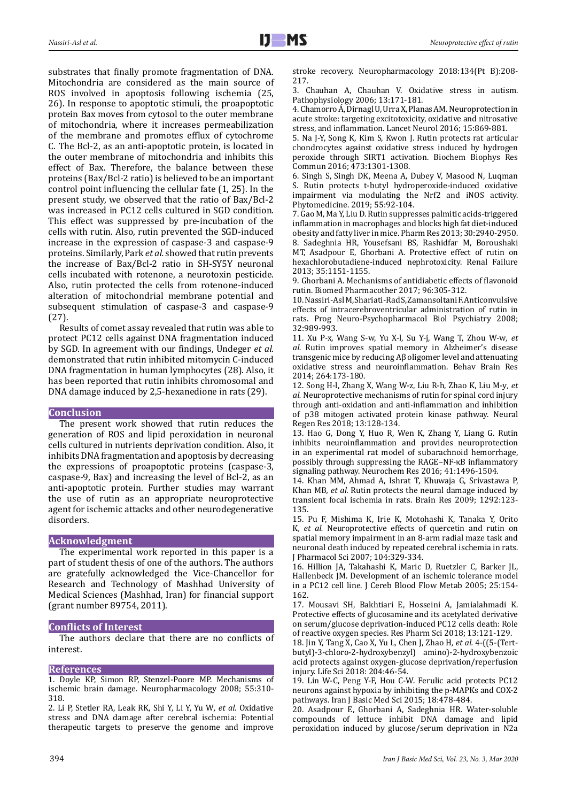substrates that finally promote fragmentation of DNA. Mitochondria are considered as the main source of ROS involved in apoptosis following ischemia (25, 26). In response to apoptotic stimuli, the proapoptotic protein Bax moves from cytosol to the outer membrane of mitochondria, where it increases permeabilization of the membrane and promotes efflux of cytochrome C. The Bcl-2, as an anti-apoptotic protein, is located in the outer membrane of mitochondria and inhibits this effect of Bax. Therefore, the balance between these proteins (Bax/Bcl-2 ratio) is believed to be an important control point influencing the cellular fate (1, 25). In the present study, we observed that the ratio of Bax/Bcl-2 was increased in PC12 cells cultured in SGD condition. This effect was suppressed by pre-incubation of the cells with rutin. Also, rutin prevented the SGD-induced increase in the expression of caspase-3 and caspase-9 proteins. Similarly, Park *et al.* showed that rutin prevents the increase of Bax/Bcl-2 ratio in SH-SY5Y neuronal cells incubated with rotenone, a neurotoxin pesticide. Also, rutin protected the cells from rotenone-induced alteration of mitochondrial membrane potential and subsequent stimulation of caspase-3 and caspase-9 (27).

Results of comet assay revealed that rutin was able to protect PC12 cells against DNA fragmentation induced by SGD. In agreement with our findings, Undeger *et al.* demonstrated that rutin inhibited mitomycin C-induced DNA fragmentation in human lymphocytes (28). Also, it has been reported that rutin inhibits chromosomal and DNA damage induced by 2,5-hexanedione in rats (29).

#### **Conclusion**

The present work showed that rutin reduces the generation of ROS and lipid peroxidation in neuronal cells cultured in nutrients deprivation condition. Also, it inhibits DNA fragmentation and apoptosis by decreasing the expressions of proapoptotic proteins (caspase-3, caspase-9, Bax) and increasing the level of Bcl-2, as an anti-apoptotic protein. Further studies may warrant the use of rutin as an appropriate neuroprotective agent for ischemic attacks and other neurodegenerative disorders.

# **Acknowledgment**

The experimental work reported in this paper is a part of student thesis of one of the authors. The authors are gratefully acknowledged the Vice-Chancellor for Research and Technology of Mashhad University of Medical Sciences (Mashhad, Iran) for financial support (grant number 89754, 2011).

#### **Conflicts of Interest**

The authors declare that there are no conflicts of interest.

# **References**

1. Doyle KP, Simon RP, Stenzel-Poore MP. Mechanisms of ischemic brain damage. Neuropharmacology 2008; 55:310- 318.

2. Li P, Stetler RA, Leak RK, Shi Y, Li Y, Yu W*, et al.* Oxidative stress and DNA damage after cerebral ischemia: Potential therapeutic targets to preserve the genome and improve

3. Chauhan A, Chauhan V. Oxidative stress in autism. Pathophysiology 2006; 13:171-181.

4. Chamorro Á, Dirnagl U, Urra X, Planas AM. Neuroprotection in acute stroke: targeting excitotoxicity, oxidative and nitrosative stress, and inflammation. Lancet Neurol 2016; 15:869-881.

5. Na J-Y, Song K, Kim S, Kwon J. Rutin protects rat articular chondrocytes against oxidative stress induced by hydrogen peroxide through SIRT1 activation. Biochem Biophys Res Commun 2016; 473:1301-1308.

6. Singh S, Singh DK, Meena A, Dubey V, Masood N, Luqman S. Rutin protects t-butyl hydroperoxide-induced oxidative impairment via modulating the Nrf2 and iNOS activity. Phytomedicine. 2019; 55:92-104.

7. Gao M, Ma Y, Liu D. Rutin suppresses palmitic acids-triggered inflammation in macrophages and blocks high fat diet-induced obesity and fatty liver in mice. Pharm Res 2013; 30:2940-2950. 8. Sadeghnia HR, Yousefsani BS, Rashidfar M, Boroushaki MT, Asadpour E, Ghorbani A. Protective effect of rutin on hexachlorobutadiene-induced nephrotoxicity. Renal Failure 2013; 35:1151-1155.

9. Ghorbani A. Mechanisms of antidiabetic effects of flavonoid rutin. Biomed Pharmacother 2017; 96:305-312.

10. Nassiri-Asl M, Shariati-Rad S, Zamansoltani F. Anticonvulsive effects of intracerebroventricular administration of rutin in rats. Prog Neuro-Psychopharmacol Biol Psychiatry 2008; 32:989-993.

11. Xu P-x, Wang S-w, Yu X-l, Su Y-j, Wang T, Zhou W-w*, et al.* Rutin improves spatial memory in Alzheimer's disease transgenic mice by reducing Aβ oligomer level and attenuating oxidative stress and neuroinflammation. Behav Brain Res 2014; 264:173-180.

12. Song H-l, Zhang X, Wang W-z, Liu R-h, Zhao K, Liu M-y*, et al.* Neuroprotective mechanisms of rutin for spinal cord injury through anti-oxidation and anti-inflammation and inhibition of p38 mitogen activated protein kinase pathway. Neural Regen Res 2018; 13:128-134.

13. Hao G, Dong Y, Huo R, Wen K, Zhang Y, Liang G. Rutin inhibits neuroinflammation and provides neuroprotection in an experimental rat model of subarachnoid hemorrhage, possibly through suppressing the RAGE–NF-κB inflammatory signaling pathway. Neurochem Res 2016; 41:1496-1504.

14. Khan MM, Ahmad A, Ishrat T, Khuwaja G, Srivastawa P, Khan MB*, et al.* Rutin protects the neural damage induced by transient focal ischemia in rats. Brain Res 2009; 1292:123- 135.

15. Pu F, Mishima K, Irie K, Motohashi K, Tanaka Y, Orito K*, et al.* Neuroprotective effects of quercetin and rutin on spatial memory impairment in an 8-arm radial maze task and neuronal death induced by repeated cerebral ischemia in rats. J Pharmacol Sci 2007; 104:329-334.

16. Hillion JA, Takahashi K, Maric D, Ruetzler C, Barker JL, Hallenbeck JM. Development of an ischemic tolerance model in a PC12 cell line. J Cereb Blood Flow Metab 2005; 25:154- 162.

17. Mousavi SH, Bakhtiari E, Hosseini A, Jamialahmadi K. Protective effects of glucosamine and its acetylated derivative on serum/glucose deprivation-induced PC12 cells death: Role of reactive oxygen species. Res Pharm Sci 2018; 13:121-129.

18. Jin Y, Tang X, Cao X, Yu L, Chen J, Zhao H*, et al.* 4-((5-(Tertbutyl)-3-chloro-2-hydroxybenzyl) amino)-2-hydroxybenzoic acid protects against oxygen-glucose deprivation/reperfusion injury. Life Sci 2018: 204:46-54.

19. Lin W-C, Peng Y-F, Hou C-W. Ferulic acid protects PC12 neurons against hypoxia by inhibiting the p-MAPKs and COX-2 pathways. Iran J Basic Med Sci 2015; 18:478-484.

20. Asadpour E, Ghorbani A, Sadeghnia HR. Water-soluble compounds of lettuce inhibit DNA damage and lipid peroxidation induced by glucose/serum deprivation in N2a